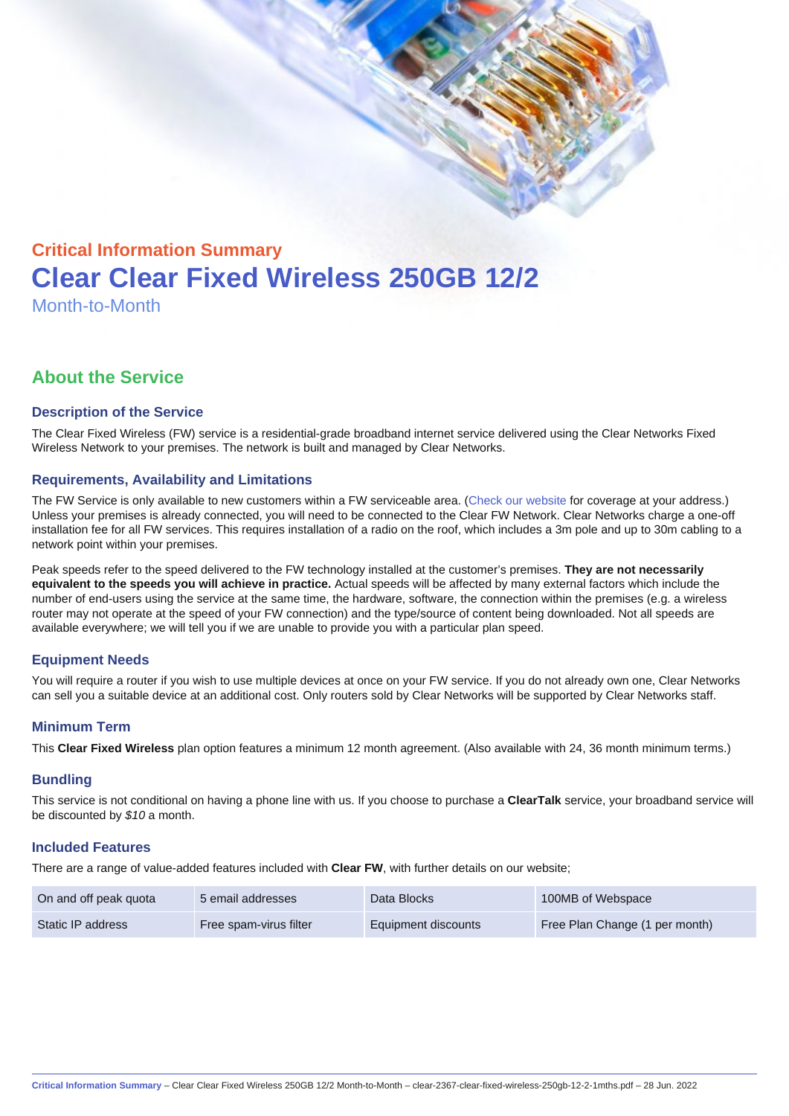# Critical Information Summary Clear Clear Fixed Wireless 250GB 12/2 Month-to-Month

# About the Service

### Description of the Service

The Clear Fixed Wireless (FW) service is a residential-grade broadband internet service delivered using the Clear Networks Fixed Wireless Network to your premises. The network is built and managed by Clear Networks.

### Requirements, Availability and Limitations

The FW Service is only available to new customers within a FW serviceable area. ([Check our website](https://www.clear.com.au/corporate-government/fixed-wireless/) for coverage at your address.) Unless your premises is already connected, you will need to be connected to the Clear FW Network. Clear Networks charge a one-off installation fee for all FW services. This requires installation of a radio on the roof, which includes a 3m pole and up to 30m cabling to a network point within your premises.

Peak speeds refer to the speed delivered to the FW technology installed at the customer's premises. They are not necessarily equivalent to the speeds you will achieve in practice. Actual speeds will be affected by many external factors which include the number of end-users using the service at the same time, the hardware, software, the connection within the premises (e.g. a wireless router may not operate at the speed of your FW connection) and the type/source of content being downloaded. Not all speeds are available everywhere; we will tell you if we are unable to provide you with a particular plan speed.

# Equipment Needs

You will require a router if you wish to use multiple devices at once on your FW service. If you do not already own one, Clear Networks can sell you a suitable device at an additional cost. Only routers sold by Clear Networks will be supported by Clear Networks staff.

#### Minimum Term

This Clear Fixed Wireless plan option features a minimum 12 month agreement. (Also available with 24, 36 month minimum terms.)

#### **Bundling**

This service is not conditional on having a phone line with us. If you choose to purchase a ClearTalk service, your broadband service will be discounted by \$10 a month.

#### Included Features

There are a range of value-added features included with Clear FW, with further details on our website;

| On and off peak quota | 5 email addresses      | Data Blocks         | 100MB of Webspace              |
|-----------------------|------------------------|---------------------|--------------------------------|
| Static IP address     | Free spam-virus filter | Equipment discounts | Free Plan Change (1 per month) |